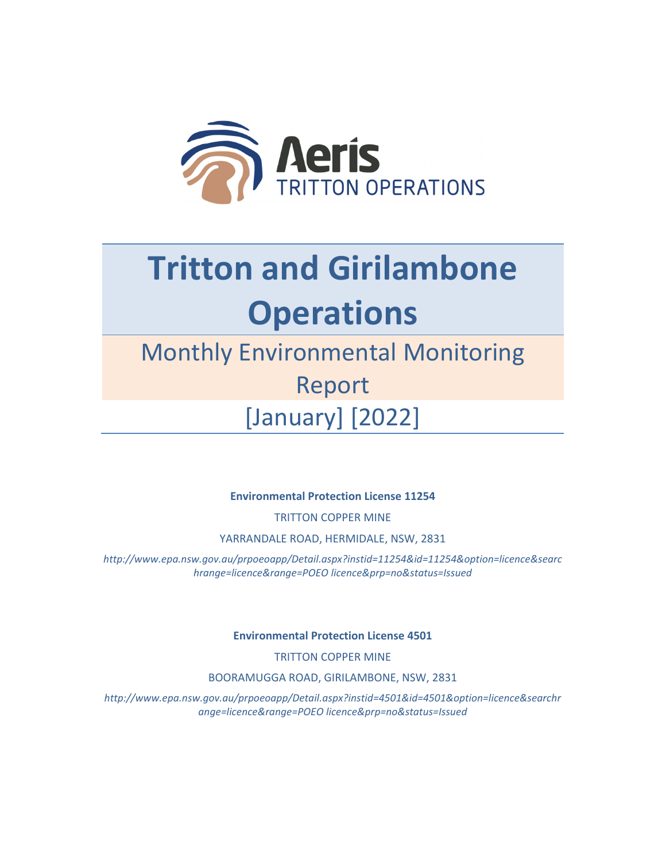

## **Tritton and Girilambone Operations**

## Monthly Environmental Monitoring Report [January] [2022]

**Environmental Protection License 11254**

TRITTON COPPER MINE

YARRANDALE ROAD, HERMIDALE, NSW, 2831

*http://www.epa.nsw.gov.au/prpoeoapp/Detail.aspx?instid=11254&id=11254&option=licence&searc hrange=licence&range=POEO licence&prp=no&status=Issued*

**Environmental Protection License 4501**

TRITTON COPPER MINE

BOORAMUGGA ROAD, GIRILAMBONE, NSW, 2831

*http://www.epa.nsw.gov.au/prpoeoapp/Detail.aspx?instid=4501&id=4501&option=licence&searchr ange=licence&range=POEO licence&prp=no&status=Issued*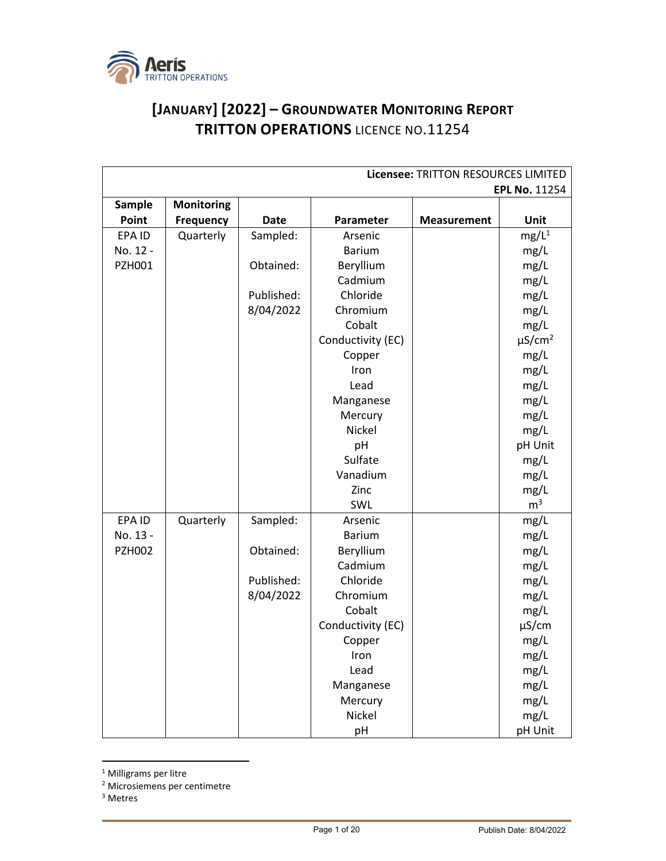

## **[JANUARY] [2022] – GROUNDWATER MONITORING REPORT TRITTON OPERATIONS** LICENCE NO.11254

| Licensee: TRITTON RESOURCES LIMITED |                  |             |                   |                      |                         |
|-------------------------------------|------------------|-------------|-------------------|----------------------|-------------------------|
|                                     |                  |             |                   | <b>EPL No. 11254</b> |                         |
| Sample                              | Monitoring       |             |                   |                      |                         |
| Point                               | <b>Frequency</b> | <b>Date</b> | Parameter         | <b>Measurement</b>   | Unit                    |
| EPA ID                              | Quarterly        | Sampled:    | Arsenic           |                      | $mg/L^1$                |
| No. 12 -                            |                  |             | <b>Barium</b>     |                      | mg/L                    |
| PZH001                              |                  | Obtained:   | Beryllium         |                      | mg/L                    |
|                                     |                  |             | Cadmium           |                      | mg/L                    |
|                                     |                  | Published:  | Chloride          |                      | mg/L                    |
|                                     |                  | 8/04/2022   | Chromium          |                      | mg/L                    |
|                                     |                  |             | Cobalt            |                      | mg/L                    |
|                                     |                  |             | Conductivity (EC) |                      | $\mu$ S/cm <sup>2</sup> |
|                                     |                  |             | Copper            |                      | mg/L                    |
|                                     |                  |             | Iron              |                      | mg/L                    |
|                                     |                  |             | Lead              |                      | mg/L                    |
|                                     |                  |             | Manganese         |                      | mg/L                    |
|                                     |                  |             | Mercury           |                      | mg/L                    |
|                                     |                  |             | Nickel            |                      | mg/L                    |
|                                     |                  |             | pH                |                      | pH Unit                 |
|                                     |                  |             | Sulfate           |                      | mg/L                    |
|                                     |                  |             | Vanadium          |                      | mg/L                    |
|                                     |                  |             | Zinc              |                      | mg/L                    |
|                                     |                  |             | SWL               |                      | m <sup>3</sup>          |
| EPA ID                              | Quarterly        | Sampled:    | Arsenic           |                      | mg/L                    |
| No. 13 -                            |                  |             | <b>Barium</b>     |                      | mg/L                    |
| <b>PZH002</b>                       |                  | Obtained:   | Beryllium         |                      | mg/L                    |
|                                     |                  |             | Cadmium           |                      | mg/L                    |
|                                     |                  | Published:  | Chloride          |                      | mg/L                    |
|                                     |                  | 8/04/2022   | Chromium          |                      | mg/L                    |
|                                     |                  |             | Cobalt            |                      | mg/L                    |
|                                     |                  |             | Conductivity (EC) |                      | $\mu$ S/cm              |
|                                     |                  |             | Copper            |                      | mg/L                    |
|                                     |                  |             | Iron              |                      | mg/L                    |
|                                     |                  |             | Lead              |                      | mg/L                    |
|                                     |                  |             | Manganese         |                      | mg/L                    |
|                                     |                  |             | Mercury           |                      | mg/L                    |
|                                     |                  |             | Nickel            |                      | mg/L                    |
|                                     |                  |             | pH                |                      | pH Unit                 |

<sup>1</sup> Milligrams per litre

<sup>3</sup> Metres

<sup>2</sup> Microsiemens per centimetre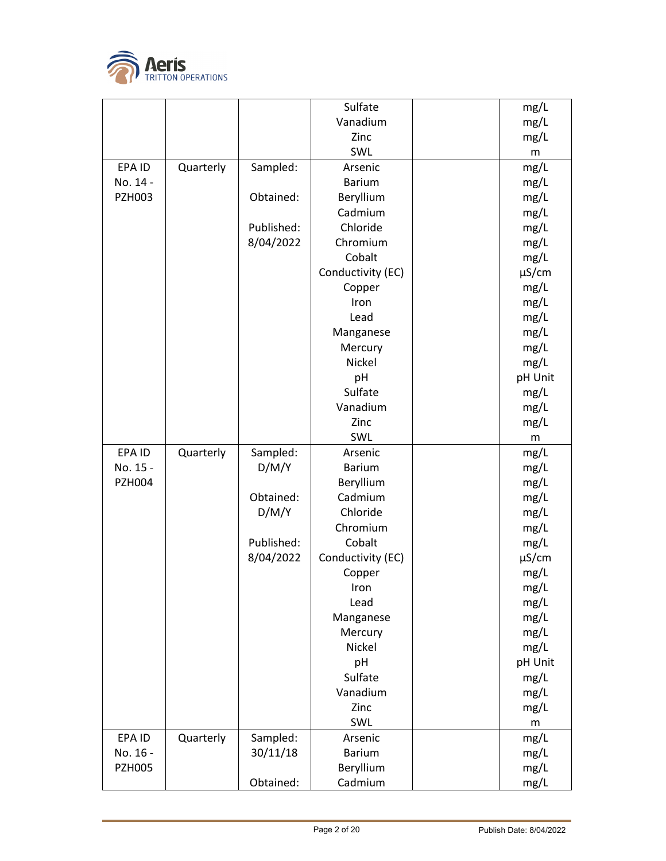

|               |           |            | Sulfate              | mg/L         |
|---------------|-----------|------------|----------------------|--------------|
|               |           |            | Vanadium             | mg/L         |
|               |           |            | Zinc                 | mg/L         |
|               |           |            | SWL                  | m            |
| EPA ID        | Quarterly | Sampled:   | Arsenic              | mg/L         |
| No. 14 -      |           |            | <b>Barium</b>        | mg/L         |
| <b>PZH003</b> |           | Obtained:  | Beryllium            | mg/L         |
|               |           |            | Cadmium              | mg/L         |
|               |           | Published: | Chloride             | mg/L         |
|               |           | 8/04/2022  | Chromium             | mg/L         |
|               |           |            | Cobalt               | mg/L         |
|               |           |            | Conductivity (EC)    | $\mu$ S/cm   |
|               |           |            | Copper               | mg/L         |
|               |           |            | Iron                 | mg/L         |
|               |           |            | Lead                 | mg/L         |
|               |           |            | Manganese            | mg/L         |
|               |           |            | Mercury              | mg/L         |
|               |           |            | <b>Nickel</b>        | mg/L         |
|               |           |            | pH                   | pH Unit      |
|               |           |            | Sulfate              | mg/L         |
|               |           |            | Vanadium             | mg/L         |
|               |           |            | Zinc                 | mg/L         |
|               |           |            | SWL                  | m            |
| EPA ID        | Quarterly | Sampled:   | Arsenic              | mg/L         |
| No. 15 -      |           | D/M/Y      | <b>Barium</b>        | mg/L         |
| <b>PZH004</b> |           |            | Beryllium            | mg/L         |
|               |           | Obtained:  | Cadmium              | mg/L         |
|               |           | D/M/Y      | Chloride             | mg/L         |
|               |           |            | Chromium             | mg/L         |
|               |           | Published: | Cobalt               | mg/L         |
|               |           | 8/04/2022  | Conductivity (EC)    | $\mu$ S/cm   |
|               |           |            | Copper               | mg/L         |
|               |           |            | Iron                 | mg/L         |
|               |           |            | Lead                 | mg/L         |
|               |           |            | Manganese            | mg/L         |
|               |           |            | Mercury              | mg/L         |
|               |           |            | Nickel               | mg/L         |
|               |           |            | pH                   | pH Unit      |
|               |           |            | Sulfate              | mg/L         |
|               |           |            | Vanadium             | mg/L         |
|               |           |            | Zinc                 | mg/L         |
|               |           |            | SWL                  | m            |
| EPA ID        | Quarterly | Sampled:   | Arsenic              | mg/L         |
| No. 16 -      |           | 30/11/18   | <b>Barium</b>        | mg/L         |
| <b>PZH005</b> |           |            |                      |              |
|               |           | Obtained:  | Beryllium<br>Cadmium | mg/L<br>mg/L |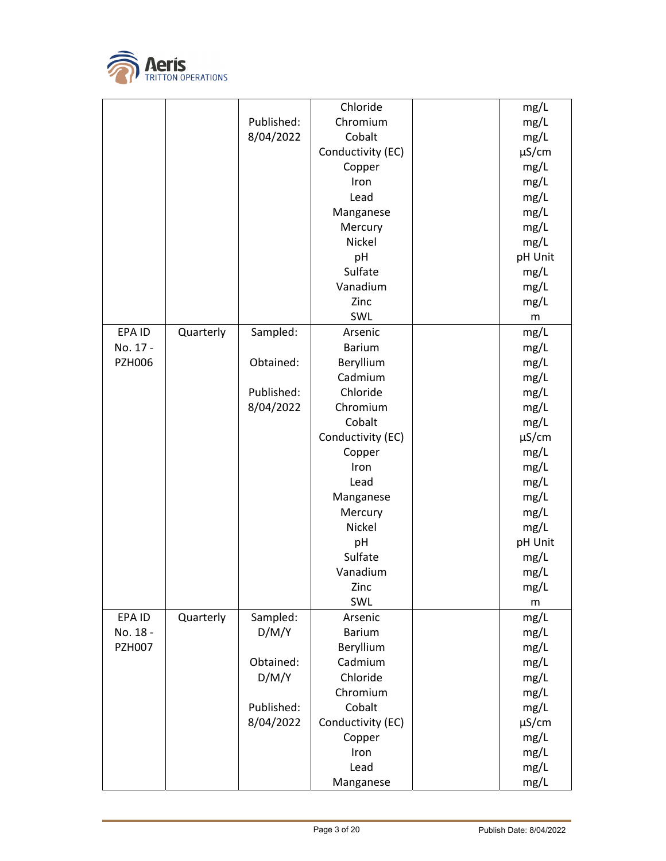

|               |           |            | Chloride          | mg/L       |
|---------------|-----------|------------|-------------------|------------|
|               |           | Published: | Chromium          | mg/L       |
|               |           | 8/04/2022  | Cobalt            | mg/L       |
|               |           |            | Conductivity (EC) | $\mu$ S/cm |
|               |           |            | Copper            | mg/L       |
|               |           |            | Iron              | mg/L       |
|               |           |            | Lead              | mg/L       |
|               |           |            | Manganese         | mg/L       |
|               |           |            | Mercury           | mg/L       |
|               |           |            | <b>Nickel</b>     | mg/L       |
|               |           |            | pH                | pH Unit    |
|               |           |            | Sulfate           | mg/L       |
|               |           |            | Vanadium          | mg/L       |
|               |           |            | Zinc              | mg/L       |
|               |           |            | SWL               |            |
|               |           |            |                   | m          |
| EPA ID        | Quarterly | Sampled:   | Arsenic           | mg/L       |
| No. 17 -      |           |            | <b>Barium</b>     | mg/L       |
| <b>PZH006</b> |           | Obtained:  | Beryllium         | mg/L       |
|               |           |            | Cadmium           | mg/L       |
|               |           | Published: | Chloride          | mg/L       |
|               |           | 8/04/2022  | Chromium          | mg/L       |
|               |           |            | Cobalt            | mg/L       |
|               |           |            | Conductivity (EC) | $\mu$ S/cm |
|               |           |            | Copper            | mg/L       |
|               |           |            | Iron              | mg/L       |
|               |           |            | Lead              | mg/L       |
|               |           |            | Manganese         | mg/L       |
|               |           |            | Mercury           | mg/L       |
|               |           |            | Nickel            | mg/L       |
|               |           |            | pH                | pH Unit    |
|               |           |            | Sulfate           | mg/L       |
|               |           |            | Vanadium          | mg/L       |
|               |           |            | Zinc              | mg/L       |
|               |           |            | SWL               | m          |
| EPA ID        | Quarterly | Sampled:   | Arsenic           | mg/L       |
| No. 18 -      |           | D/M/Y      | <b>Barium</b>     | mg/L       |
| <b>PZH007</b> |           |            | Beryllium         | mg/L       |
|               |           | Obtained:  | Cadmium           | mg/L       |
|               |           | D/M/Y      | Chloride          |            |
|               |           |            |                   | mg/L       |
|               |           |            | Chromium          | mg/L       |
|               |           | Published: | Cobalt            | mg/L       |
|               |           | 8/04/2022  | Conductivity (EC) | $\mu$ S/cm |
|               |           |            | Copper            | mg/L       |
|               |           |            | Iron              | mg/L       |
|               |           |            | Lead              | mg/L       |
|               |           |            | Manganese         | mg/L       |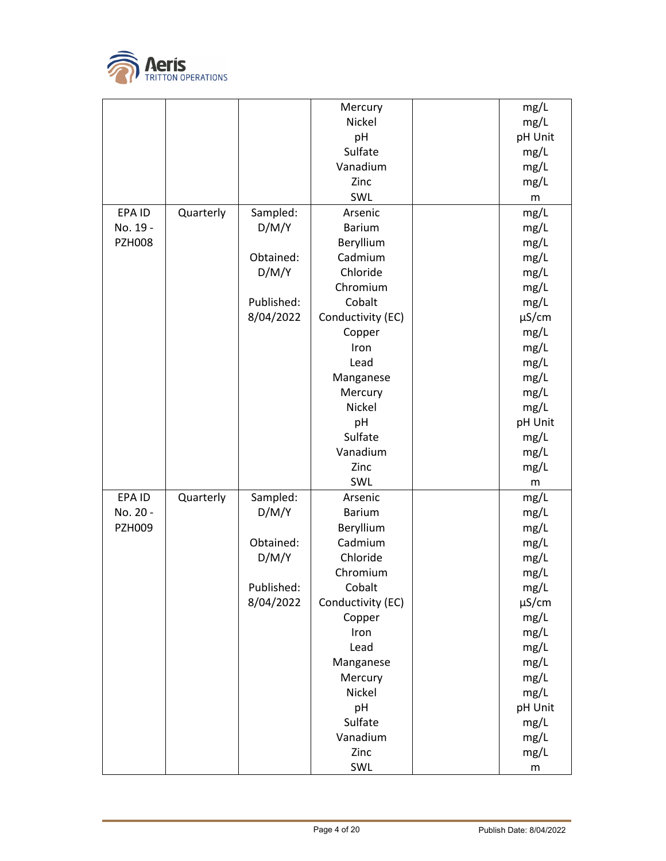

|               |           |            | Mercury           | mg/L       |
|---------------|-----------|------------|-------------------|------------|
|               |           |            | Nickel            | mg/L       |
|               |           |            | pH                | pH Unit    |
|               |           |            | Sulfate           | mg/L       |
|               |           |            | Vanadium          | mg/L       |
|               |           |            | Zinc              | mg/L       |
|               |           |            | SWL               | m          |
| EPA ID        | Quarterly | Sampled:   | Arsenic           | mg/L       |
| No. 19 -      |           | D/M/Y      | <b>Barium</b>     | mg/L       |
| <b>PZH008</b> |           |            | Beryllium         | mg/L       |
|               |           | Obtained:  | Cadmium           | mg/L       |
|               |           | D/M/Y      | Chloride          | mg/L       |
|               |           |            | Chromium          | mg/L       |
|               |           | Published: | Cobalt            | mg/L       |
|               |           | 8/04/2022  | Conductivity (EC) | $\mu$ S/cm |
|               |           |            | Copper            | mg/L       |
|               |           |            | Iron              | mg/L       |
|               |           |            | Lead              | mg/L       |
|               |           |            | Manganese         | mg/L       |
|               |           |            | Mercury           | mg/L       |
|               |           |            | Nickel            | mg/L       |
|               |           |            | pH                | pH Unit    |
|               |           |            | Sulfate           | mg/L       |
|               |           |            | Vanadium          | mg/L       |
|               |           |            | Zinc              | mg/L       |
|               |           |            | SWL               | m          |
| EPA ID        | Quarterly | Sampled:   | Arsenic           | mg/L       |
| No. 20 -      |           | D/M/Y      | <b>Barium</b>     | mg/L       |
| <b>PZH009</b> |           |            | Beryllium         | mg/L       |
|               |           | Obtained:  | Cadmium           | mg/L       |
|               |           | D/M/Y      | Chloride          | mg/L       |
|               |           |            | Chromium          | mg/L       |
|               |           | Published: | Cobalt            | mg/L       |
|               |           | 8/04/2022  | Conductivity (EC) | $\mu$ S/cm |
|               |           |            | Copper            | mg/L       |
|               |           |            | Iron              | mg/L       |
|               |           |            | Lead              | mg/L       |
|               |           |            | Manganese         | mg/L       |
|               |           |            | Mercury           | mg/L       |
|               |           |            | Nickel            | mg/L       |
|               |           |            | pH                | pH Unit    |
|               |           |            | Sulfate           | mg/L       |
|               |           |            | Vanadium          | mg/L       |
|               |           |            | Zinc              | mg/L       |
|               |           |            | SWL               | m          |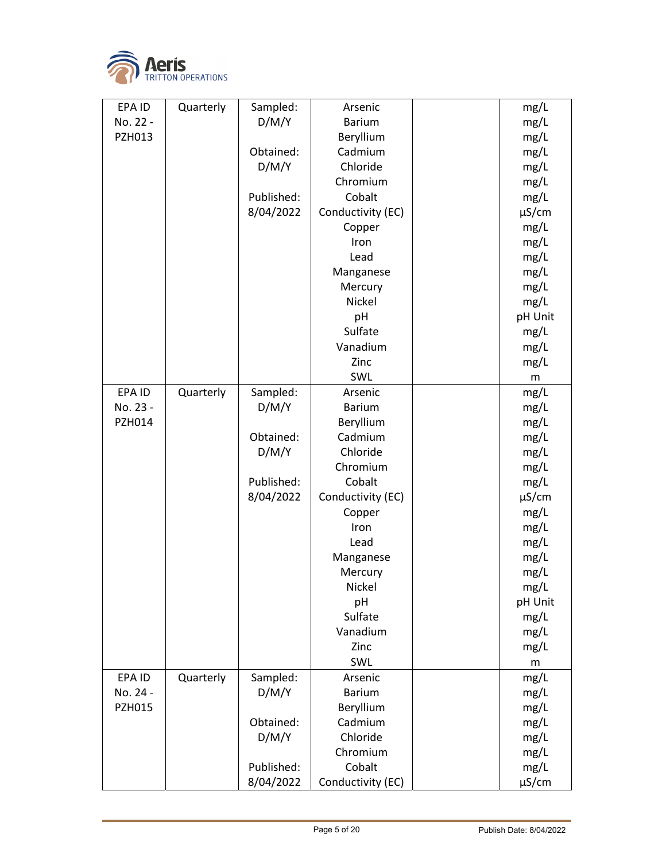

| EPA ID        | Quarterly | Sampled:   | Arsenic           | mg/L       |
|---------------|-----------|------------|-------------------|------------|
| No. 22 -      |           | D/M/Y      | <b>Barium</b>     | mg/L       |
| PZH013        |           |            | Beryllium         | mg/L       |
|               |           | Obtained:  | Cadmium           | mg/L       |
|               |           | D/M/Y      | Chloride          | mg/L       |
|               |           |            | Chromium          | mg/L       |
|               |           | Published: | Cobalt            | mg/L       |
|               |           | 8/04/2022  | Conductivity (EC) | $\mu$ S/cm |
|               |           |            | Copper            | mg/L       |
|               |           |            | Iron              | mg/L       |
|               |           |            | Lead              | mg/L       |
|               |           |            | Manganese         | mg/L       |
|               |           |            | Mercury           | mg/L       |
|               |           |            | Nickel            | mg/L       |
|               |           |            | pH                | pH Unit    |
|               |           |            | Sulfate           | mg/L       |
|               |           |            | Vanadium          | mg/L       |
|               |           |            | Zinc              | mg/L       |
|               |           |            | SWL               | m          |
| EPA ID        | Quarterly | Sampled:   | Arsenic           | mg/L       |
| No. 23 -      |           | D/M/Y      | <b>Barium</b>     | mg/L       |
| <b>PZH014</b> |           |            | Beryllium         | mg/L       |
|               |           | Obtained:  | Cadmium           | mg/L       |
|               |           | D/M/Y      | Chloride          | mg/L       |
|               |           |            | Chromium          | mg/L       |
|               |           | Published: | Cobalt            | mg/L       |
|               |           | 8/04/2022  | Conductivity (EC) | µS/cm      |
|               |           |            | Copper            | mg/L       |
|               |           |            | Iron              | mg/L       |
|               |           |            | Lead              | mg/L       |
|               |           |            | Manganese         | mg/L       |
|               |           |            | Mercury           | mg/L       |
|               |           |            | Nickel            | mg/L       |
|               |           |            | рH                | pH Unit    |
|               |           |            | Sulfate           | mg/L       |
|               |           |            | Vanadium          | mg/L       |
|               |           |            | Zinc              | mg/L       |
|               |           |            | SWL               | m          |
| EPA ID        | Quarterly | Sampled:   | Arsenic           | mg/L       |
| No. 24 -      |           | D/M/Y      | <b>Barium</b>     | mg/L       |
| <b>PZH015</b> |           |            | Beryllium         | mg/L       |
|               |           | Obtained:  | Cadmium           | mg/L       |
|               |           | D/M/Y      | Chloride          | mg/L       |
|               |           |            | Chromium          | mg/L       |
|               |           | Published: | Cobalt            | mg/L       |
|               |           | 8/04/2022  | Conductivity (EC) | $\mu$ S/cm |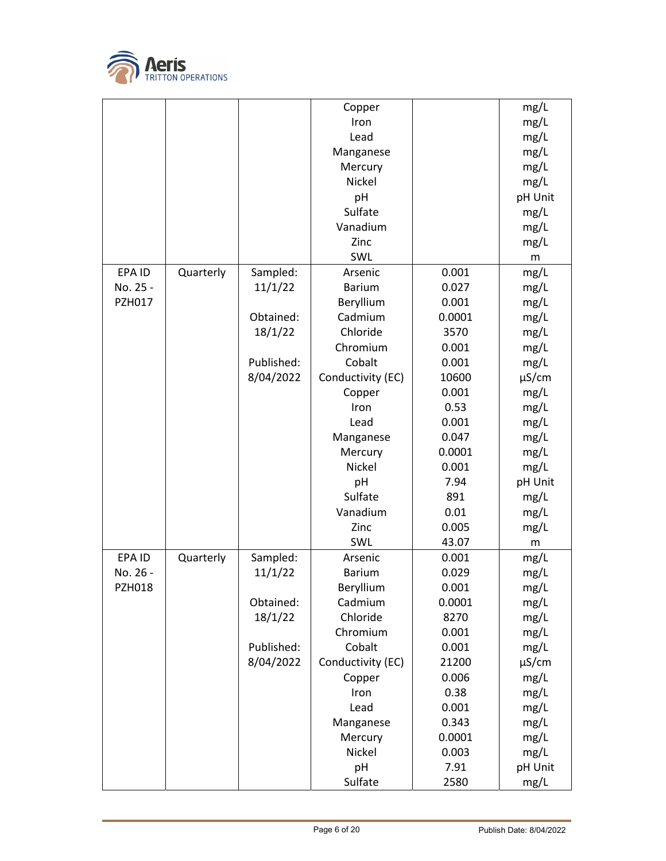

|               |           |            | Copper            |        | mg/L       |
|---------------|-----------|------------|-------------------|--------|------------|
|               |           |            | Iron              |        | mg/L       |
|               |           |            | Lead              |        | mg/L       |
|               |           |            | Manganese         |        | mg/L       |
|               |           |            | Mercury           |        | mg/L       |
|               |           |            | Nickel            |        | mg/L       |
|               |           |            | pH                |        | pH Unit    |
|               |           |            | Sulfate           |        | mg/L       |
|               |           |            | Vanadium          |        | mg/L       |
|               |           |            | Zinc              |        | mg/L       |
|               |           |            | SWL               |        | ${\sf m}$  |
| EPA ID        |           |            | Arsenic           | 0.001  |            |
|               | Quarterly | Sampled:   |                   |        | mg/L       |
| No. 25 -      |           | 11/1/22    | <b>Barium</b>     | 0.027  | mg/L       |
| PZH017        |           |            | Beryllium         | 0.001  | mg/L       |
|               |           | Obtained:  | Cadmium           | 0.0001 | mg/L       |
|               |           | 18/1/22    | Chloride          | 3570   | mg/L       |
|               |           |            | Chromium          | 0.001  | mg/L       |
|               |           | Published: | Cobalt            | 0.001  | mg/L       |
|               |           | 8/04/2022  | Conductivity (EC) | 10600  | $\mu$ S/cm |
|               |           |            | Copper            | 0.001  | mg/L       |
|               |           |            | Iron              | 0.53   | mg/L       |
|               |           |            | Lead              | 0.001  | mg/L       |
|               |           |            | Manganese         | 0.047  | mg/L       |
|               |           |            | Mercury           | 0.0001 | mg/L       |
|               |           |            | Nickel            | 0.001  | mg/L       |
|               |           |            | pH                | 7.94   | pH Unit    |
|               |           |            | Sulfate           | 891    | mg/L       |
|               |           |            | Vanadium          | 0.01   | mg/L       |
|               |           |            | Zinc              | 0.005  | mg/L       |
|               |           |            | SWL               | 43.07  | m          |
| EPA ID        | Quarterly | Sampled:   | Arsenic           | 0.001  | mg/L       |
| No. 26 -      |           | 11/1/22    | <b>Barium</b>     | 0.029  | mg/L       |
| <b>PZH018</b> |           |            | Beryllium         | 0.001  | mg/L       |
|               |           | Obtained:  | Cadmium           | 0.0001 | mg/L       |
|               |           | 18/1/22    | Chloride          | 8270   | mg/L       |
|               |           |            | Chromium          | 0.001  | mg/L       |
|               |           | Published: | Cobalt            | 0.001  | mg/L       |
|               |           | 8/04/2022  | Conductivity (EC) | 21200  | $\mu$ S/cm |
|               |           |            | Copper            | 0.006  | mg/L       |
|               |           |            | Iron              | 0.38   | mg/L       |
|               |           |            | Lead              | 0.001  | mg/L       |
|               |           |            | Manganese         | 0.343  | mg/L       |
|               |           |            | Mercury           | 0.0001 | mg/L       |
|               |           |            | Nickel            | 0.003  | mg/L       |
|               |           |            | pH                | 7.91   | pH Unit    |
|               |           |            | Sulfate           | 2580   | mg/L       |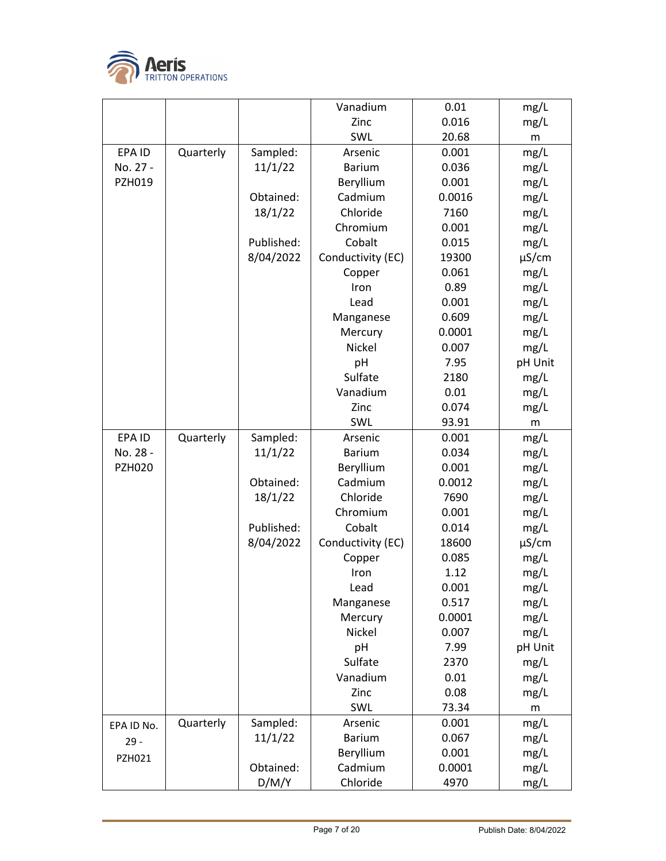

|               |           |            | Vanadium          | 0.01   | mg/L       |
|---------------|-----------|------------|-------------------|--------|------------|
|               |           |            | Zinc              | 0.016  | mg/L       |
|               |           |            | SWL               | 20.68  | m          |
| EPA ID        | Quarterly | Sampled:   | Arsenic           | 0.001  | mg/L       |
| No. 27 -      |           | 11/1/22    | <b>Barium</b>     | 0.036  | mg/L       |
| PZH019        |           |            | Beryllium         | 0.001  | mg/L       |
|               |           | Obtained:  | Cadmium           | 0.0016 | mg/L       |
|               |           | 18/1/22    | Chloride          | 7160   | mg/L       |
|               |           |            | Chromium          | 0.001  | mg/L       |
|               |           | Published: | Cobalt            | 0.015  | mg/L       |
|               |           | 8/04/2022  | Conductivity (EC) | 19300  | $\mu$ S/cm |
|               |           |            | Copper            | 0.061  | mg/L       |
|               |           |            | Iron              | 0.89   | mg/L       |
|               |           |            | Lead              | 0.001  | mg/L       |
|               |           |            | Manganese         | 0.609  | mg/L       |
|               |           |            | Mercury           | 0.0001 | mg/L       |
|               |           |            | Nickel            | 0.007  | mg/L       |
|               |           |            | pH                | 7.95   | pH Unit    |
|               |           |            | Sulfate           | 2180   | mg/L       |
|               |           |            | Vanadium          | 0.01   | mg/L       |
|               |           |            | Zinc              | 0.074  | mg/L       |
|               |           |            | SWL               | 93.91  | m          |
| EPA ID        | Quarterly | Sampled:   | Arsenic           | 0.001  | mg/L       |
| No. 28 -      |           | 11/1/22    | <b>Barium</b>     | 0.034  | mg/L       |
| <b>PZH020</b> |           |            | Beryllium         | 0.001  | mg/L       |
|               |           | Obtained:  | Cadmium           | 0.0012 | mg/L       |
|               |           | 18/1/22    | Chloride          | 7690   | mg/L       |
|               |           |            | Chromium          | 0.001  | mg/L       |
|               |           | Published: | Cobalt            | 0.014  | mg/L       |
|               |           | 8/04/2022  | Conductivity (EC) | 18600  | $\mu$ S/cm |
|               |           |            | Copper            | 0.085  | mg/L       |
|               |           |            | Iron              | 1.12   | mg/L       |
|               |           |            | Lead              | 0.001  | mg/L       |
|               |           |            | Manganese         | 0.517  | mg/L       |
|               |           |            | Mercury           | 0.0001 | mg/L       |
|               |           |            | Nickel            | 0.007  | mg/L       |
|               |           |            | pH                | 7.99   | pH Unit    |
|               |           |            | Sulfate           | 2370   | mg/L       |
|               |           |            | Vanadium          | 0.01   | mg/L       |
|               |           |            | Zinc              | 0.08   | mg/L       |
|               |           |            | SWL               | 73.34  | m          |
| EPA ID No.    | Quarterly | Sampled:   | Arsenic           | 0.001  | mg/L       |
| $29 -$        |           | 11/1/22    | <b>Barium</b>     | 0.067  | mg/L       |
| PZH021        |           |            | Beryllium         | 0.001  | mg/L       |
|               |           | Obtained:  | Cadmium           | 0.0001 | mg/L       |
|               |           | D/M/Y      | Chloride          | 4970   | mg/L       |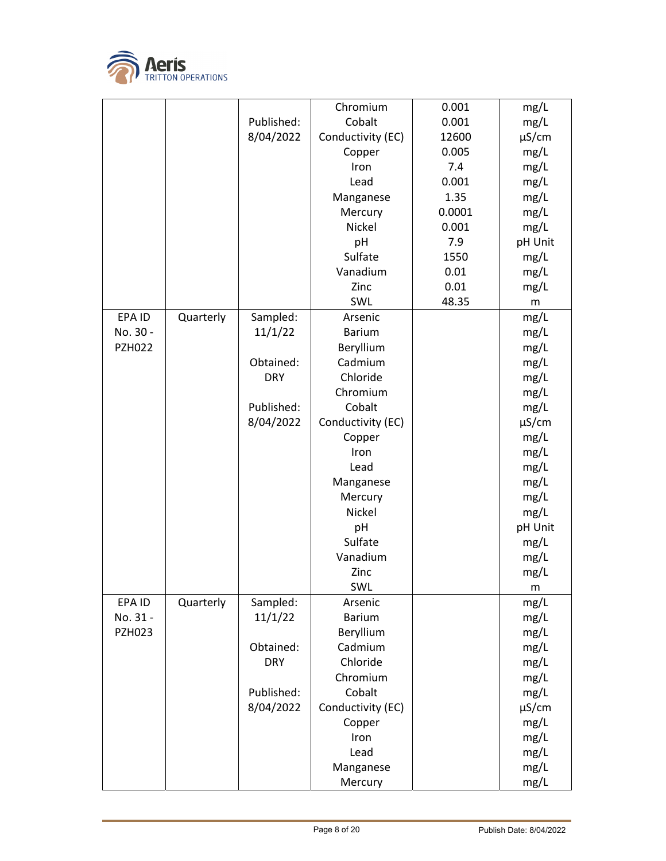

|               |           |            | Chromium          | 0.001  | mg/L       |
|---------------|-----------|------------|-------------------|--------|------------|
|               |           | Published: | Cobalt            | 0.001  | mg/L       |
|               |           | 8/04/2022  | Conductivity (EC) | 12600  | $\mu$ S/cm |
|               |           |            | Copper            | 0.005  | mg/L       |
|               |           |            | Iron              | 7.4    | mg/L       |
|               |           |            | Lead              | 0.001  | mg/L       |
|               |           |            | Manganese         | 1.35   | mg/L       |
|               |           |            | Mercury           | 0.0001 | mg/L       |
|               |           |            | Nickel            | 0.001  | mg/L       |
|               |           |            | pH                | 7.9    | pH Unit    |
|               |           |            | Sulfate           | 1550   | mg/L       |
|               |           |            | Vanadium          | 0.01   | mg/L       |
|               |           |            | Zinc              | 0.01   | mg/L       |
|               |           |            | SWL               | 48.35  | m          |
| EPA ID        | Quarterly | Sampled:   | Arsenic           |        | mg/L       |
| No. 30 -      |           | 11/1/22    | <b>Barium</b>     |        | mg/L       |
| <b>PZH022</b> |           |            | Beryllium         |        | mg/L       |
|               |           | Obtained:  | Cadmium           |        | mg/L       |
|               |           | <b>DRY</b> | Chloride          |        | mg/L       |
|               |           |            | Chromium          |        | mg/L       |
|               |           | Published: | Cobalt            |        | mg/L       |
|               |           | 8/04/2022  | Conductivity (EC) |        | $\mu$ S/cm |
|               |           |            | Copper            |        | mg/L       |
|               |           |            | Iron              |        | mg/L       |
|               |           |            | Lead              |        | mg/L       |
|               |           |            | Manganese         |        | mg/L       |
|               |           |            | Mercury           |        | mg/L       |
|               |           |            | Nickel            |        | mg/L       |
|               |           |            | pH                |        | pH Unit    |
|               |           |            | Sulfate           |        | mg/L       |
|               |           |            | Vanadium          |        | mg/L       |
|               |           |            | Zinc              |        | mg/L       |
|               |           |            | SWL               |        |            |
| EPA ID        | Quarterly | Sampled:   | Arsenic           |        | m<br>mg/L  |
| No. 31 -      |           | 11/1/22    | <b>Barium</b>     |        | mg/L       |
| <b>PZH023</b> |           |            | Beryllium         |        | mg/L       |
|               |           | Obtained:  | Cadmium           |        | mg/L       |
|               |           | <b>DRY</b> | Chloride          |        | mg/L       |
|               |           |            | Chromium          |        | mg/L       |
|               |           | Published: | Cobalt            |        | mg/L       |
|               |           | 8/04/2022  | Conductivity (EC) |        | $\mu$ S/cm |
|               |           |            | Copper            |        | mg/L       |
|               |           |            | Iron              |        | mg/L       |
|               |           |            | Lead              |        | mg/L       |
|               |           |            |                   |        |            |
|               |           |            | Manganese         |        | mg/L       |
|               |           |            | Mercury           |        | mg/L       |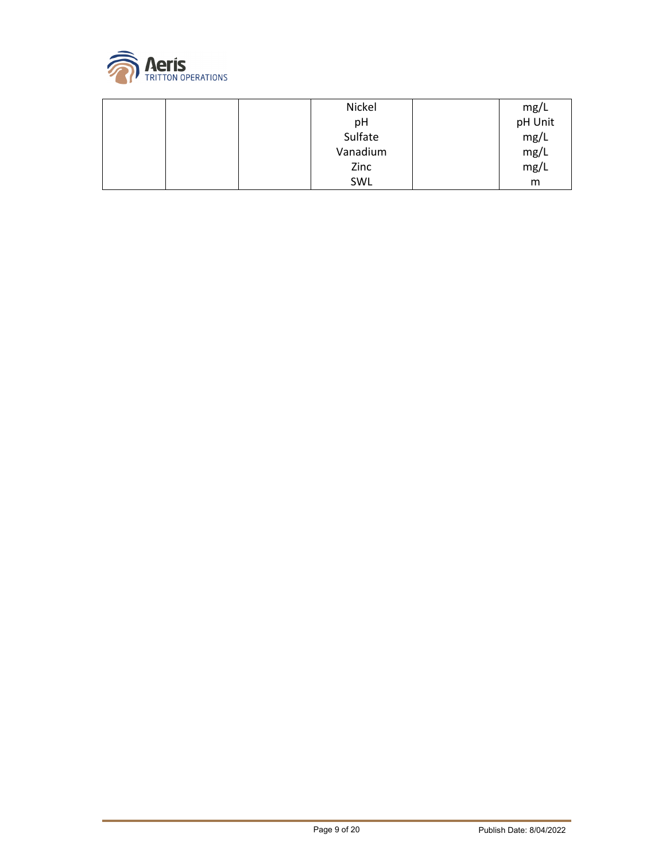

| Nickel   | mg/L    |
|----------|---------|
| рH       | pH Unit |
| Sulfate  | mg/L    |
| Vanadium | mg/L    |
| Zinc     | mg/L    |
| SWL      | m       |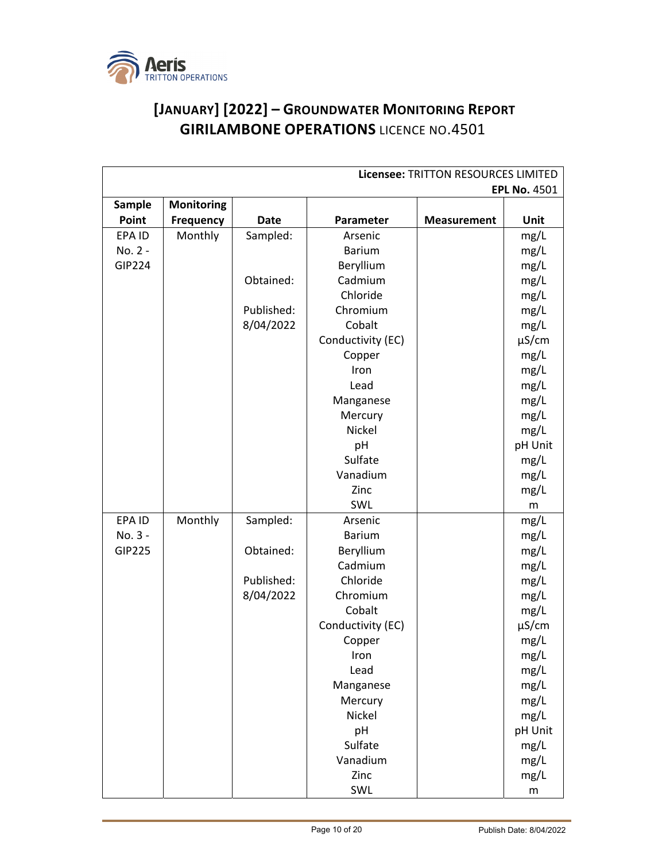

## **[JANUARY] [2022] – GROUNDWATER MONITORING REPORT GIRILAMBONE OPERATIONS** LICENCE NO.4501

| Licensee: TRITTON RESOURCES LIMITED |                   |             |                   |                    |                     |
|-------------------------------------|-------------------|-------------|-------------------|--------------------|---------------------|
|                                     |                   |             |                   |                    | <b>EPL No. 4501</b> |
| Sample                              | <b>Monitoring</b> |             |                   |                    |                     |
| Point                               | <b>Frequency</b>  | <b>Date</b> | Parameter         | <b>Measurement</b> | Unit                |
| EPA ID                              | Monthly           | Sampled:    | Arsenic           |                    | mg/L                |
| No. 2 -                             |                   |             | <b>Barium</b>     |                    | mg/L                |
| <b>GIP224</b>                       |                   |             | Beryllium         |                    | mg/L                |
|                                     |                   | Obtained:   | Cadmium           |                    | mg/L                |
|                                     |                   |             | Chloride          |                    | mg/L                |
|                                     |                   | Published:  | Chromium          |                    | mg/L                |
|                                     |                   | 8/04/2022   | Cobalt            |                    | mg/L                |
|                                     |                   |             | Conductivity (EC) |                    | $\mu$ S/cm          |
|                                     |                   |             | Copper            |                    | mg/L                |
|                                     |                   |             | Iron              |                    | mg/L                |
|                                     |                   |             | Lead              |                    | mg/L                |
|                                     |                   |             | Manganese         |                    | mg/L                |
|                                     |                   |             | Mercury           |                    | mg/L                |
|                                     |                   |             | Nickel            |                    | mg/L                |
|                                     |                   |             | pH                |                    | pH Unit             |
|                                     |                   |             | Sulfate           |                    | mg/L                |
|                                     |                   |             | Vanadium          |                    | mg/L                |
|                                     |                   |             | Zinc              |                    | mg/L                |
|                                     |                   |             | SWL               |                    | m                   |
| EPA ID                              | Monthly           | Sampled:    | Arsenic           |                    | mg/L                |
| No. 3 -                             |                   |             | <b>Barium</b>     |                    | mg/L                |
| <b>GIP225</b>                       |                   | Obtained:   | Beryllium         |                    | mg/L                |
|                                     |                   |             | Cadmium           |                    | mg/L                |
|                                     |                   | Published:  | Chloride          |                    | mg/L                |
|                                     |                   | 8/04/2022   | Chromium          |                    | mg/L                |
|                                     |                   |             | Cobalt            |                    | mg/L                |
|                                     |                   |             | Conductivity (EC) |                    | $\mu$ S/cm          |
|                                     |                   |             | Copper            |                    | mg/L                |
|                                     |                   |             | Iron              |                    | mg/L                |
|                                     |                   |             | Lead              |                    | mg/L                |
|                                     |                   |             | Manganese         |                    | mg/L                |
|                                     |                   |             | Mercury           |                    | mg/L                |
|                                     |                   |             | Nickel            |                    | mg/L                |
|                                     |                   |             | pH                |                    | pH Unit             |
|                                     |                   |             | Sulfate           |                    | mg/L                |
|                                     |                   |             | Vanadium          |                    | mg/L                |
|                                     |                   |             | Zinc              |                    | mg/L                |
|                                     |                   |             | SWL               |                    | ${\sf m}$           |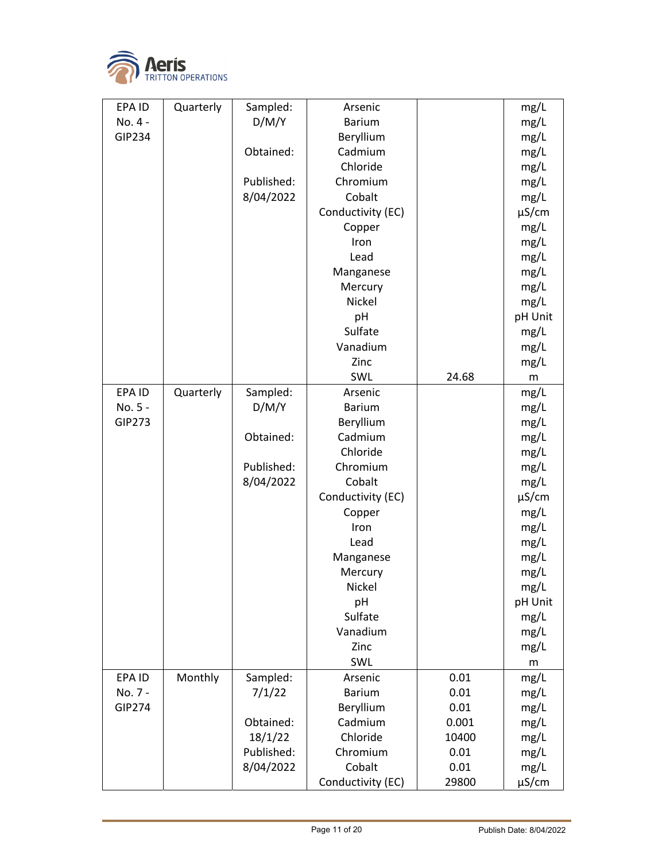

| EPA ID        | Quarterly | Sampled:   | Arsenic           |       | mg/L       |
|---------------|-----------|------------|-------------------|-------|------------|
| No. 4 -       |           | D/M/Y      | <b>Barium</b>     |       | mg/L       |
| GIP234        |           |            | Beryllium         |       | mg/L       |
|               |           | Obtained:  | Cadmium           |       | mg/L       |
|               |           |            | Chloride          |       | mg/L       |
|               |           | Published: | Chromium          |       | mg/L       |
|               |           | 8/04/2022  | Cobalt            |       | mg/L       |
|               |           |            | Conductivity (EC) |       | $\mu$ S/cm |
|               |           |            | Copper            |       | mg/L       |
|               |           |            | Iron              |       | mg/L       |
|               |           |            | Lead              |       | mg/L       |
|               |           |            | Manganese         |       | mg/L       |
|               |           |            | Mercury           |       | mg/L       |
|               |           |            | Nickel            |       | mg/L       |
|               |           |            | pH                |       | pH Unit    |
|               |           |            | Sulfate           |       | mg/L       |
|               |           |            | Vanadium          |       | mg/L       |
|               |           |            | Zinc              |       | mg/L       |
|               |           |            | SWL               | 24.68 | m          |
| EPA ID        | Quarterly | Sampled:   | Arsenic           |       | mg/L       |
| No. 5 -       |           | D/M/Y      | <b>Barium</b>     |       | mg/L       |
| GIP273        |           |            | Beryllium         |       | mg/L       |
|               |           | Obtained:  | Cadmium           |       | mg/L       |
|               |           |            | Chloride          |       | mg/L       |
|               |           | Published: | Chromium          |       | mg/L       |
|               |           | 8/04/2022  | Cobalt            |       | mg/L       |
|               |           |            | Conductivity (EC) |       | µS/cm      |
|               |           |            | Copper            |       | mg/L       |
|               |           |            | Iron              |       | mg/L       |
|               |           |            | Lead              |       | mg/L       |
|               |           |            | Manganese         |       | mg/L       |
|               |           |            | Mercury           |       | mg/L       |
|               |           |            | Nickel            |       | mg/L       |
|               |           |            | pH                |       | pH Unit    |
|               |           |            | Sulfate           |       | mg/L       |
|               |           |            | Vanadium          |       | mg/L       |
|               |           |            | Zinc              |       | mg/L       |
|               |           |            | SWL               |       | m          |
| EPA ID        | Monthly   | Sampled:   | Arsenic           | 0.01  | mg/L       |
| No. 7 -       |           | 7/1/22     | <b>Barium</b>     | 0.01  | mg/L       |
| <b>GIP274</b> |           |            | Beryllium         | 0.01  | mg/L       |
|               |           | Obtained:  | Cadmium           | 0.001 | mg/L       |
|               |           | 18/1/22    | Chloride          | 10400 | mg/L       |
|               |           | Published: | Chromium          | 0.01  | mg/L       |
|               |           | 8/04/2022  | Cobalt            | 0.01  | mg/L       |
|               |           |            | Conductivity (EC) | 29800 | µS/cm      |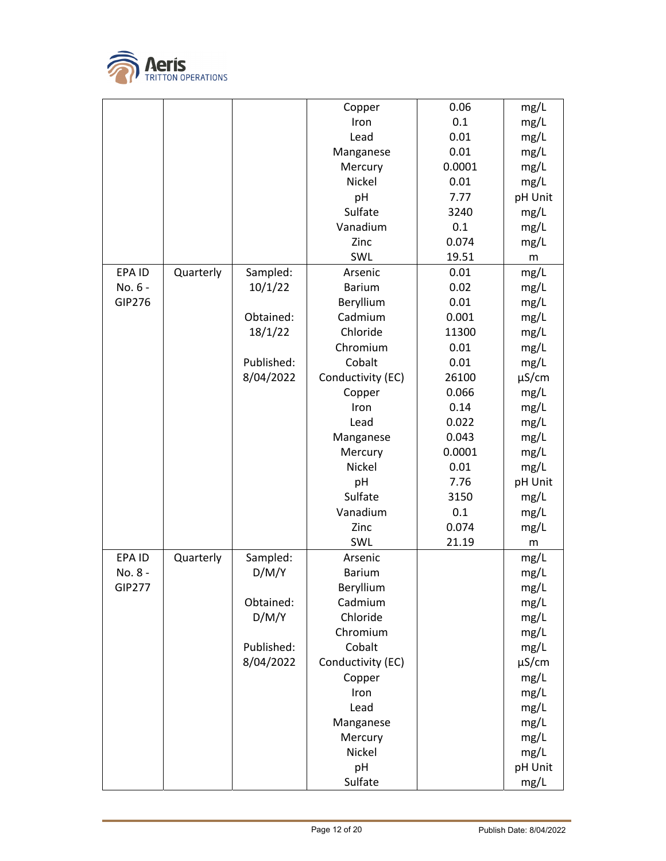

|               |           |            | Copper            | 0.06   | mg/L       |
|---------------|-----------|------------|-------------------|--------|------------|
|               |           |            | Iron              | 0.1    | mg/L       |
|               |           |            | Lead              | 0.01   | mg/L       |
|               |           |            | Manganese         | 0.01   | mg/L       |
|               |           |            | Mercury           | 0.0001 | mg/L       |
|               |           |            | Nickel            | 0.01   | mg/L       |
|               |           |            | pH                | 7.77   | pH Unit    |
|               |           |            | Sulfate           | 3240   | mg/L       |
|               |           |            | Vanadium          | 0.1    | mg/L       |
|               |           |            | Zinc              | 0.074  | mg/L       |
|               |           |            | SWL               | 19.51  | m          |
| EPA ID        | Quarterly | Sampled:   | Arsenic           | 0.01   | mg/L       |
| No. 6 -       |           | 10/1/22    | <b>Barium</b>     | 0.02   | mg/L       |
| <b>GIP276</b> |           |            | Beryllium         | 0.01   | mg/L       |
|               |           | Obtained:  | Cadmium           | 0.001  | mg/L       |
|               |           | 18/1/22    | Chloride          | 11300  | mg/L       |
|               |           |            | Chromium          | 0.01   | mg/L       |
|               |           | Published: | Cobalt            | 0.01   | mg/L       |
|               |           | 8/04/2022  | Conductivity (EC) | 26100  | $\mu$ S/cm |
|               |           |            | Copper            | 0.066  | mg/L       |
|               |           |            | Iron              | 0.14   | mg/L       |
|               |           |            | Lead              | 0.022  | mg/L       |
|               |           |            | Manganese         | 0.043  | mg/L       |
|               |           |            | Mercury           | 0.0001 | mg/L       |
|               |           |            | Nickel            | 0.01   | mg/L       |
|               |           |            | pH                | 7.76   | pH Unit    |
|               |           |            | Sulfate           | 3150   | mg/L       |
|               |           |            | Vanadium          | 0.1    | mg/L       |
|               |           |            | Zinc              | 0.074  | mg/L       |
|               |           |            | SWL               | 21.19  | m          |
| EPA ID        | Quarterly | Sampled:   | Arsenic           |        | mg/L       |
| No. 8 -       |           | D/M/Y      | <b>Barium</b>     |        | mg/L       |
| GIP277        |           |            | Beryllium         |        | mg/L       |
|               |           | Obtained:  | Cadmium           |        | mg/L       |
|               |           | D/M/Y      | Chloride          |        | mg/L       |
|               |           |            | Chromium          |        | mg/L       |
|               |           | Published: | Cobalt            |        | mg/L       |
|               |           | 8/04/2022  | Conductivity (EC) |        | $\mu$ S/cm |
|               |           |            | Copper            |        | mg/L       |
|               |           |            | Iron              |        | mg/L       |
|               |           |            | Lead              |        | mg/L       |
|               |           |            | Manganese         |        | mg/L       |
|               |           |            | Mercury           |        | mg/L       |
|               |           |            | Nickel            |        | mg/L       |
|               |           |            | pH                |        | pH Unit    |
|               |           |            | Sulfate           |        | mg/L       |
|               |           |            |                   |        |            |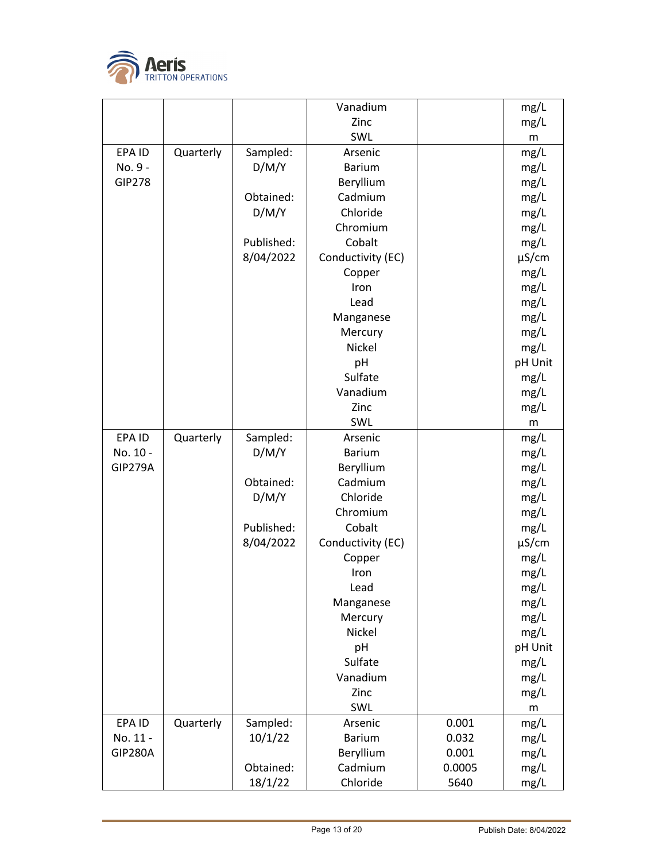

|                |           |            | Vanadium          |        | mg/L       |
|----------------|-----------|------------|-------------------|--------|------------|
|                |           |            | Zinc              |        | mg/L       |
|                |           |            | SWL               |        | m          |
| EPA ID         | Quarterly | Sampled:   | Arsenic           |        | mg/L       |
| No. 9 -        |           | D/M/Y      | <b>Barium</b>     |        | mg/L       |
| <b>GIP278</b>  |           |            | Beryllium         |        | mg/L       |
|                |           | Obtained:  | Cadmium           |        | mg/L       |
|                |           | D/M/Y      | Chloride          |        | mg/L       |
|                |           |            | Chromium          |        | mg/L       |
|                |           | Published: | Cobalt            |        | mg/L       |
|                |           | 8/04/2022  | Conductivity (EC) |        | $\mu$ S/cm |
|                |           |            | Copper            |        | mg/L       |
|                |           |            | Iron              |        | mg/L       |
|                |           |            | Lead              |        | mg/L       |
|                |           |            | Manganese         |        | mg/L       |
|                |           |            | Mercury           |        | mg/L       |
|                |           |            | <b>Nickel</b>     |        | mg/L       |
|                |           |            | pH                |        | pH Unit    |
|                |           |            | Sulfate           |        | mg/L       |
|                |           |            | Vanadium          |        | mg/L       |
|                |           |            | Zinc              |        | mg/L       |
|                |           |            | SWL               |        | m          |
| EPA ID         | Quarterly | Sampled:   | Arsenic           |        | mg/L       |
| No. 10 -       |           | D/M/Y      | <b>Barium</b>     |        | mg/L       |
| <b>GIP279A</b> |           |            | Beryllium         |        | mg/L       |
|                |           | Obtained:  | Cadmium           |        | mg/L       |
|                |           | D/M/Y      | Chloride          |        | mg/L       |
|                |           |            | Chromium          |        | mg/L       |
|                |           | Published: | Cobalt            |        | mg/L       |
|                |           | 8/04/2022  | Conductivity (EC) |        | $\mu$ S/cm |
|                |           |            | Copper            |        | mg/L       |
|                |           |            | Iron              |        | mg/L       |
|                |           |            | Lead              |        | mg/L       |
|                |           |            | Manganese         |        | mg/L       |
|                |           |            | Mercury           |        | mg/L       |
|                |           |            | Nickel            |        | mg/L       |
|                |           |            | pH                |        | pH Unit    |
|                |           |            | Sulfate           |        | mg/L       |
|                |           |            | Vanadium          |        | mg/L       |
|                |           |            | Zinc              |        | mg/L       |
|                |           |            | SWL               |        | m          |
| EPA ID         | Quarterly | Sampled:   | Arsenic           | 0.001  | mg/L       |
| No. 11 -       |           | 10/1/22    | <b>Barium</b>     | 0.032  | mg/L       |
| <b>GIP280A</b> |           |            | Beryllium         | 0.001  | mg/L       |
|                |           | Obtained:  | Cadmium           | 0.0005 | mg/L       |
|                |           | 18/1/22    | Chloride          | 5640   | mg/L       |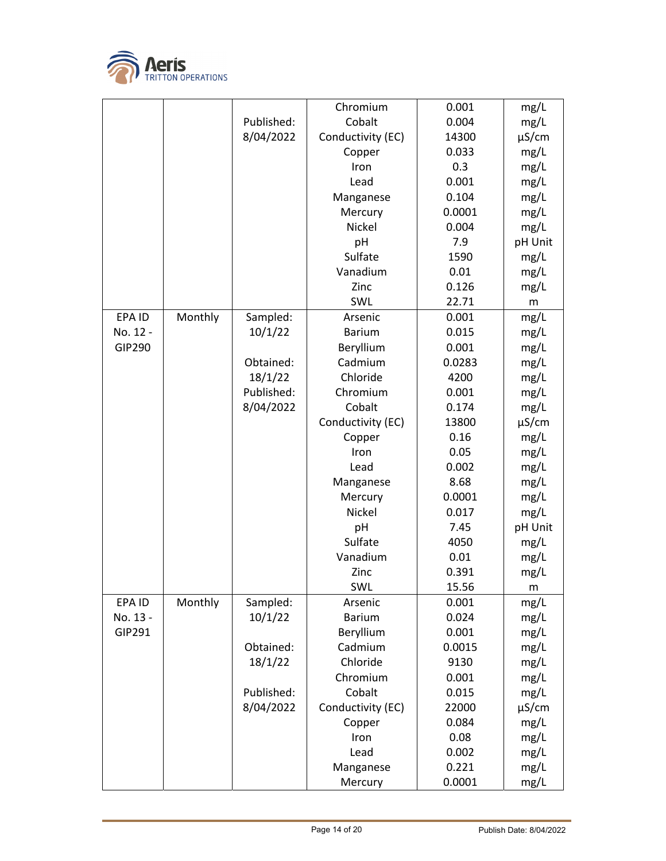

|               |         |            | Chromium          | 0.001  | mg/L    |
|---------------|---------|------------|-------------------|--------|---------|
|               |         | Published: | Cobalt            | 0.004  | mg/L    |
|               |         | 8/04/2022  | Conductivity (EC) | 14300  | µS/cm   |
|               |         |            | Copper            | 0.033  | mg/L    |
|               |         |            | Iron              | 0.3    | mg/L    |
|               |         |            | Lead              | 0.001  | mg/L    |
|               |         |            | Manganese         | 0.104  | mg/L    |
|               |         |            | Mercury           | 0.0001 | mg/L    |
|               |         |            | Nickel            | 0.004  | mg/L    |
|               |         |            | pH                | 7.9    | pH Unit |
|               |         |            | Sulfate           | 1590   | mg/L    |
|               |         |            | Vanadium          | 0.01   | mg/L    |
|               |         |            | Zinc              | 0.126  | mg/L    |
|               |         |            | SWL               | 22.71  | m       |
| EPA ID        | Monthly | Sampled:   | Arsenic           | 0.001  | mg/L    |
| No. 12 -      |         | 10/1/22    | <b>Barium</b>     | 0.015  | mg/L    |
| <b>GIP290</b> |         |            | Beryllium         | 0.001  | mg/L    |
|               |         | Obtained:  | Cadmium           | 0.0283 | mg/L    |
|               |         | 18/1/22    | Chloride          | 4200   | mg/L    |
|               |         | Published: | Chromium          | 0.001  | mg/L    |
|               |         | 8/04/2022  | Cobalt            | 0.174  | mg/L    |
|               |         |            | Conductivity (EC) | 13800  | µS/cm   |
|               |         |            | Copper            | 0.16   | mg/L    |
|               |         |            | Iron              | 0.05   | mg/L    |
|               |         |            | Lead              | 0.002  | mg/L    |
|               |         |            | Manganese         | 8.68   | mg/L    |
|               |         |            | Mercury           | 0.0001 | mg/L    |
|               |         |            | Nickel            | 0.017  | mg/L    |
|               |         |            | pH                | 7.45   | pH Unit |
|               |         |            | Sulfate           | 4050   | mg/L    |
|               |         |            | Vanadium          | 0.01   | mg/L    |
|               |         |            | Zinc              | 0.391  | mg/L    |
|               |         |            | SWL               | 15.56  | m       |
| EPA ID        | Monthly | Sampled:   | Arsenic           | 0.001  | mg/L    |
| No. 13 -      |         | 10/1/22    | <b>Barium</b>     | 0.024  | mg/L    |
| GIP291        |         |            | Beryllium         | 0.001  | mg/L    |
|               |         | Obtained:  | Cadmium           | 0.0015 | mg/L    |
|               |         | 18/1/22    | Chloride          | 9130   | mg/L    |
|               |         |            | Chromium          | 0.001  | mg/L    |
|               |         | Published: | Cobalt            | 0.015  | mg/L    |
|               |         | 8/04/2022  | Conductivity (EC) | 22000  | µS/cm   |
|               |         |            | Copper            | 0.084  | mg/L    |
|               |         |            | Iron              | 0.08   | mg/L    |
|               |         |            | Lead              | 0.002  | mg/L    |
|               |         |            | Manganese         | 0.221  | mg/L    |
|               |         |            |                   |        |         |
|               |         |            | Mercury           | 0.0001 | mg/L    |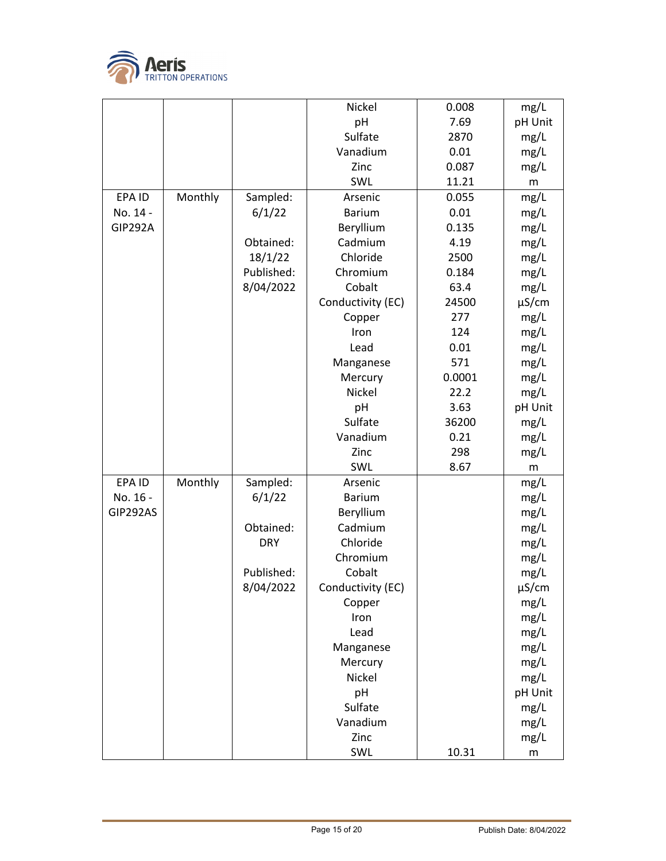

|                |         |            | Nickel            | 0.008  | mg/L       |
|----------------|---------|------------|-------------------|--------|------------|
|                |         |            | pH                | 7.69   | pH Unit    |
|                |         |            | Sulfate           | 2870   | mg/L       |
|                |         |            | Vanadium          | 0.01   | mg/L       |
|                |         |            | Zinc              | 0.087  | mg/L       |
|                |         |            | SWL               | 11.21  | m          |
| EPA ID         | Monthly | Sampled:   | Arsenic           | 0.055  | mg/L       |
| No. 14 -       |         | 6/1/22     | <b>Barium</b>     | 0.01   | mg/L       |
| <b>GIP292A</b> |         |            | Beryllium         | 0.135  | mg/L       |
|                |         | Obtained:  | Cadmium           | 4.19   | mg/L       |
|                |         | 18/1/22    | Chloride          | 2500   | mg/L       |
|                |         | Published: | Chromium          | 0.184  | mg/L       |
|                |         | 8/04/2022  | Cobalt            | 63.4   | mg/L       |
|                |         |            | Conductivity (EC) | 24500  | $\mu$ S/cm |
|                |         |            | Copper            | 277    | mg/L       |
|                |         |            | Iron              | 124    | mg/L       |
|                |         |            | Lead              | 0.01   | mg/L       |
|                |         |            | Manganese         | 571    | mg/L       |
|                |         |            | Mercury           | 0.0001 | mg/L       |
|                |         |            | Nickel            | 22.2   | mg/L       |
|                |         |            | pH                | 3.63   | pH Unit    |
|                |         |            | Sulfate           | 36200  | mg/L       |
|                |         |            | Vanadium          | 0.21   | mg/L       |
|                |         |            | Zinc              | 298    | mg/L       |
|                |         |            | SWL               | 8.67   | m          |
| EPA ID         | Monthly | Sampled:   | Arsenic           |        | mg/L       |
| No. 16 -       |         | 6/1/22     | <b>Barium</b>     |        | mg/L       |
| GIP292AS       |         |            | Beryllium         |        | mg/L       |
|                |         | Obtained:  | Cadmium           |        | mg/L       |
|                |         | <b>DRY</b> | Chloride          |        | mg/L       |
|                |         |            | Chromium          |        | mg/L       |
|                |         | Published: | Cobalt            |        | mg/L       |
|                |         | 8/04/2022  | Conductivity (EC) |        | $\mu$ S/cm |
|                |         |            | Copper            |        | mg/L       |
|                |         |            | Iron              |        | mg/L       |
|                |         |            | Lead              |        | mg/L       |
|                |         |            | Manganese         |        | mg/L       |
|                |         |            | Mercury           |        | mg/L       |
|                |         |            | Nickel            |        | mg/L       |
|                |         |            | pH                |        | pH Unit    |
|                |         |            | Sulfate           |        | mg/L       |
|                |         |            | Vanadium          |        | mg/L       |
|                |         |            | Zinc              |        | mg/L       |
|                |         |            | SWL               | 10.31  | m          |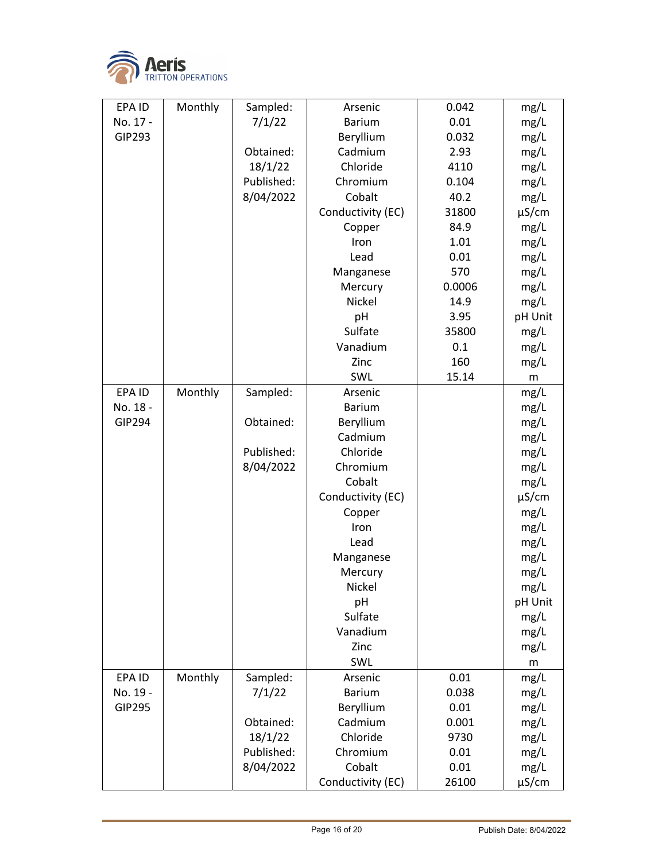

| EPA ID        | Monthly | Sampled:   | Arsenic           | 0.042  | mg/L    |
|---------------|---------|------------|-------------------|--------|---------|
| No. 17 -      |         | 7/1/22     | <b>Barium</b>     | 0.01   | mg/L    |
| GIP293        |         |            | Beryllium         | 0.032  | mg/L    |
|               |         | Obtained:  | Cadmium           | 2.93   | mg/L    |
|               |         | 18/1/22    | Chloride          | 4110   | mg/L    |
|               |         | Published: | Chromium          | 0.104  | mg/L    |
|               |         | 8/04/2022  | Cobalt            | 40.2   | mg/L    |
|               |         |            | Conductivity (EC) | 31800  | µS/cm   |
|               |         |            | Copper            | 84.9   | mg/L    |
|               |         |            | Iron              | 1.01   | mg/L    |
|               |         |            | Lead              | 0.01   | mg/L    |
|               |         |            | Manganese         | 570    | mg/L    |
|               |         |            | Mercury           | 0.0006 | mg/L    |
|               |         |            | Nickel            | 14.9   | mg/L    |
|               |         |            | pH                | 3.95   | pH Unit |
|               |         |            | Sulfate           | 35800  | mg/L    |
|               |         |            | Vanadium          | 0.1    | mg/L    |
|               |         |            | Zinc              | 160    | mg/L    |
|               |         |            | SWL               | 15.14  | m       |
| EPA ID        | Monthly | Sampled:   | Arsenic           |        | mg/L    |
| No. 18 -      |         |            | <b>Barium</b>     |        | mg/L    |
| <b>GIP294</b> |         | Obtained:  | Beryllium         |        | mg/L    |
|               |         |            | Cadmium           |        | mg/L    |
|               |         | Published: | Chloride          |        | mg/L    |
|               |         | 8/04/2022  | Chromium          |        | mg/L    |
|               |         |            | Cobalt            |        | mg/L    |
|               |         |            | Conductivity (EC) |        | µS/cm   |
|               |         |            | Copper            |        | mg/L    |
|               |         |            | Iron              |        | mg/L    |
|               |         |            | Lead              |        | mg/L    |
|               |         |            | Manganese         |        | mg/L    |
|               |         |            | Mercury           |        | mg/L    |
|               |         |            | Nickel            |        | mg/L    |
|               |         |            | pH                |        | pH Unit |
|               |         |            | Sulfate           |        | mg/L    |
|               |         |            | Vanadium          |        | mg/L    |
|               |         |            | Zinc              |        | mg/L    |
|               |         |            | SWL               |        | m       |
| EPA ID        | Monthly | Sampled:   | Arsenic           | 0.01   | mg/L    |
| No. 19 -      |         | 7/1/22     | <b>Barium</b>     | 0.038  | mg/L    |
| <b>GIP295</b> |         |            | Beryllium         | 0.01   | mg/L    |
|               |         | Obtained:  | Cadmium           | 0.001  | mg/L    |
|               |         | 18/1/22    | Chloride          | 9730   | mg/L    |
|               |         | Published: | Chromium          | 0.01   | mg/L    |
|               |         | 8/04/2022  | Cobalt            | 0.01   | mg/L    |
|               |         |            | Conductivity (EC) | 26100  | µS/cm   |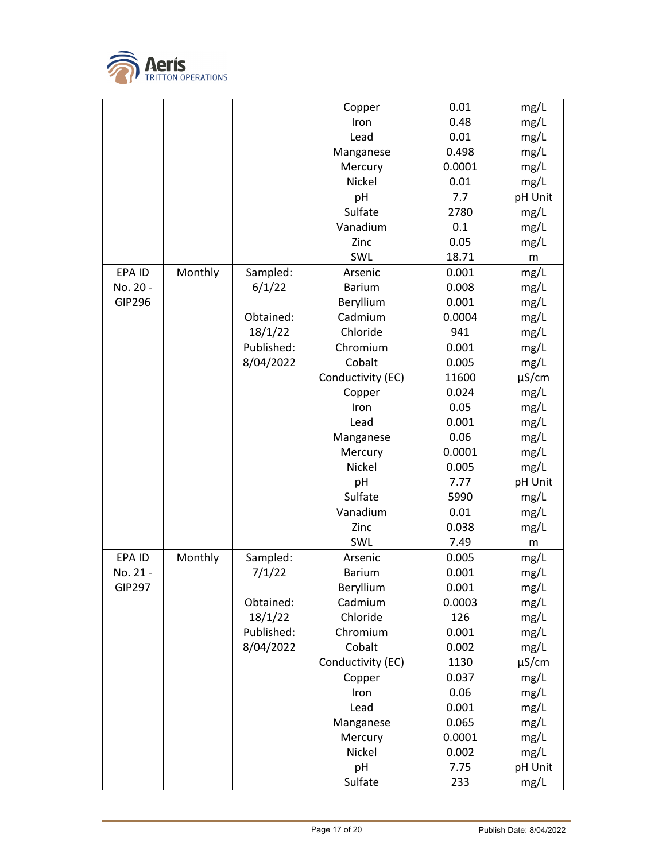

|               |         |            | Copper            | 0.01   | mg/L       |
|---------------|---------|------------|-------------------|--------|------------|
|               |         |            | Iron              | 0.48   | mg/L       |
|               |         |            | Lead              | 0.01   | mg/L       |
|               |         |            | Manganese         | 0.498  | mg/L       |
|               |         |            | Mercury           | 0.0001 | mg/L       |
|               |         |            | Nickel            | 0.01   | mg/L       |
|               |         |            | pH                | 7.7    | pH Unit    |
|               |         |            | Sulfate           | 2780   | mg/L       |
|               |         |            | Vanadium          | 0.1    | mg/L       |
|               |         |            | Zinc              | 0.05   | mg/L       |
|               |         |            | SWL               | 18.71  | ${\sf m}$  |
| EPA ID        | Monthly | Sampled:   | Arsenic           | 0.001  | mg/L       |
| No. 20 -      |         | 6/1/22     | <b>Barium</b>     | 0.008  | mg/L       |
| <b>GIP296</b> |         |            | Beryllium         | 0.001  | mg/L       |
|               |         | Obtained:  | Cadmium           | 0.0004 | mg/L       |
|               |         | 18/1/22    | Chloride          | 941    | mg/L       |
|               |         | Published: | Chromium          | 0.001  | mg/L       |
|               |         | 8/04/2022  | Cobalt            | 0.005  | mg/L       |
|               |         |            | Conductivity (EC) | 11600  | $\mu$ S/cm |
|               |         |            | Copper            | 0.024  | mg/L       |
|               |         |            | Iron              | 0.05   | mg/L       |
|               |         |            | Lead              | 0.001  | mg/L       |
|               |         |            | Manganese         | 0.06   | mg/L       |
|               |         |            | Mercury           | 0.0001 | mg/L       |
|               |         |            | Nickel            | 0.005  | mg/L       |
|               |         |            | pH                | 7.77   | pH Unit    |
|               |         |            | Sulfate           | 5990   | mg/L       |
|               |         |            | Vanadium          | 0.01   | mg/L       |
|               |         |            | Zinc              | 0.038  | mg/L       |
|               |         |            | SWL               | 7.49   | m          |
| EPA ID        | Monthly | Sampled:   | Arsenic           | 0.005  | mg/L       |
| No. 21 -      |         | 7/1/22     | <b>Barium</b>     | 0.001  | mg/L       |
| <b>GIP297</b> |         |            | Beryllium         | 0.001  | mg/L       |
|               |         | Obtained:  | Cadmium           | 0.0003 | mg/L       |
|               |         | 18/1/22    | Chloride          | 126    | mg/L       |
|               |         | Published: | Chromium          | 0.001  | mg/L       |
|               |         | 8/04/2022  | Cobalt            | 0.002  | mg/L       |
|               |         |            | Conductivity (EC) | 1130   | $\mu$ S/cm |
|               |         |            | Copper            | 0.037  | mg/L       |
|               |         |            | Iron              | 0.06   | mg/L       |
|               |         |            | Lead              | 0.001  | mg/L       |
|               |         |            | Manganese         | 0.065  | mg/L       |
|               |         |            | Mercury           | 0.0001 | mg/L       |
|               |         |            | Nickel            | 0.002  | mg/L       |
|               |         |            | pH                | 7.75   | pH Unit    |
|               |         |            |                   |        |            |
|               |         |            | Sulfate           | 233    | mg/L       |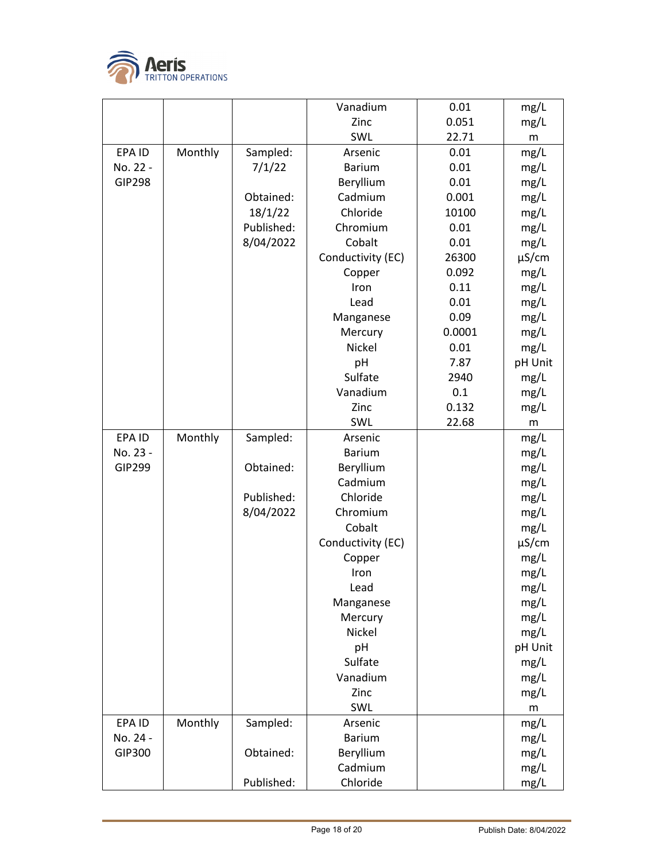

|               |         |            | Vanadium            | 0.01   | mg/L       |
|---------------|---------|------------|---------------------|--------|------------|
|               |         |            | Zinc                | 0.051  | mg/L       |
|               |         |            | SWL                 | 22.71  | m          |
| EPA ID        | Monthly | Sampled:   | Arsenic             | 0.01   | mg/L       |
| No. 22 -      |         | 7/1/22     | <b>Barium</b>       | 0.01   | mg/L       |
| <b>GIP298</b> |         |            | Beryllium           | 0.01   | mg/L       |
|               |         | Obtained:  | Cadmium             | 0.001  | mg/L       |
|               |         | 18/1/22    | Chloride            | 10100  | mg/L       |
|               |         | Published: | Chromium            | 0.01   | mg/L       |
|               |         | 8/04/2022  | Cobalt              | 0.01   | mg/L       |
|               |         |            | Conductivity (EC)   | 26300  | $\mu$ S/cm |
|               |         |            | Copper              | 0.092  | mg/L       |
|               |         |            | Iron                | 0.11   | mg/L       |
|               |         |            | Lead                | 0.01   | mg/L       |
|               |         |            | Manganese           | 0.09   | mg/L       |
|               |         |            | Mercury             | 0.0001 | mg/L       |
|               |         |            | Nickel              | 0.01   | mg/L       |
|               |         |            | pH                  | 7.87   | pH Unit    |
|               |         |            | Sulfate             | 2940   | mg/L       |
|               |         |            | Vanadium            | 0.1    | mg/L       |
|               |         |            | Zinc                | 0.132  | mg/L       |
|               |         |            | SWL                 | 22.68  | m          |
| EPA ID        | Monthly | Sampled:   | Arsenic             |        | mg/L       |
| No. 23 -      |         |            | <b>Barium</b>       |        | mg/L       |
| <b>GIP299</b> |         | Obtained:  | Beryllium           |        | mg/L       |
|               |         |            | Cadmium             |        | mg/L       |
|               |         | Published: | Chloride            |        | mg/L       |
|               |         | 8/04/2022  | Chromium            |        | mg/L       |
|               |         |            | Cobalt              |        | mg/L       |
|               |         |            | Conductivity (EC)   |        | $\mu$ S/cm |
|               |         |            | Copper              |        | mg/L       |
|               |         |            | Iron                |        | mg/L       |
|               |         |            | Lead                |        | mg/L       |
|               |         |            | Manganese           |        | mg/L       |
|               |         |            | Mercury             |        | mg/L       |
|               |         |            | Nickel              |        | mg/L       |
|               |         |            | pH                  |        | pH Unit    |
|               |         |            | Sulfate<br>Vanadium |        | mg/L       |
|               |         |            | Zinc                |        | mg/L       |
|               |         |            | SWL                 |        | mg/L<br>m  |
| EPA ID        | Monthly | Sampled:   | Arsenic             |        | mg/L       |
| No. 24 -      |         |            | <b>Barium</b>       |        | mg/L       |
| GIP300        |         | Obtained:  | Beryllium           |        | mg/L       |
|               |         |            | Cadmium             |        | mg/L       |
|               |         | Published: | Chloride            |        | mg/L       |
|               |         |            |                     |        |            |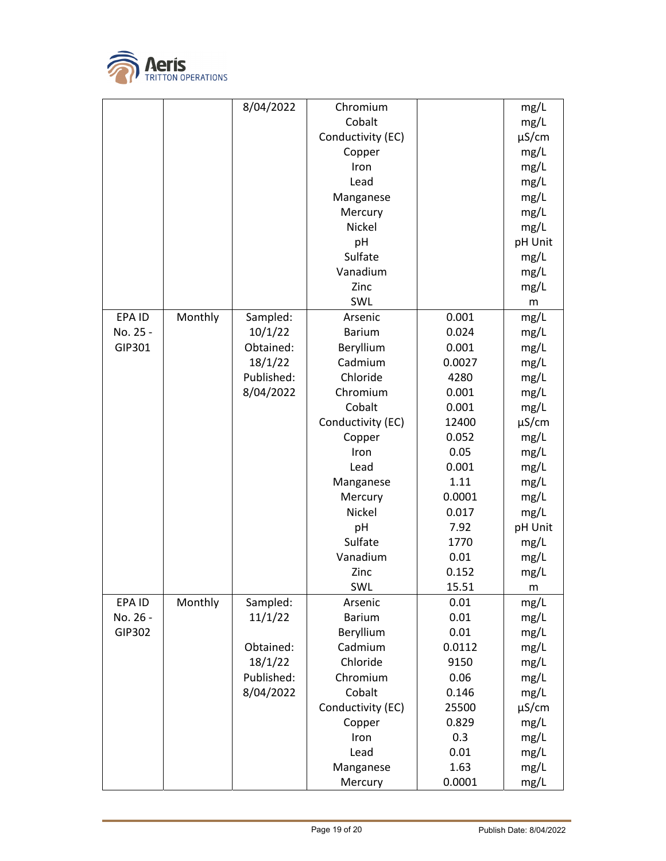

|          |         | 8/04/2022  | Chromium          |        | mg/L       |
|----------|---------|------------|-------------------|--------|------------|
|          |         |            | Cobalt            |        | mg/L       |
|          |         |            | Conductivity (EC) |        | $\mu$ S/cm |
|          |         |            | Copper            |        | mg/L       |
|          |         |            | Iron              |        | mg/L       |
|          |         |            | Lead              |        | mg/L       |
|          |         |            | Manganese         |        | mg/L       |
|          |         |            | Mercury           |        | mg/L       |
|          |         |            | Nickel            |        | mg/L       |
|          |         |            | pH                |        | pH Unit    |
|          |         |            | Sulfate           |        | mg/L       |
|          |         |            | Vanadium          |        | mg/L       |
|          |         |            | Zinc              |        | mg/L       |
|          |         |            | SWL               |        | m          |
| EPA ID   | Monthly | Sampled:   | Arsenic           | 0.001  | mg/L       |
| No. 25 - |         | 10/1/22    | <b>Barium</b>     | 0.024  | mg/L       |
| GIP301   |         | Obtained:  | Beryllium         | 0.001  | mg/L       |
|          |         | 18/1/22    | Cadmium           | 0.0027 | mg/L       |
|          |         | Published: | Chloride          | 4280   | mg/L       |
|          |         | 8/04/2022  | Chromium          | 0.001  | mg/L       |
|          |         |            | Cobalt            | 0.001  | mg/L       |
|          |         |            | Conductivity (EC) | 12400  | $\mu$ S/cm |
|          |         |            | Copper            | 0.052  | mg/L       |
|          |         |            | Iron              | 0.05   | mg/L       |
|          |         |            | Lead              | 0.001  | mg/L       |
|          |         |            | Manganese         | 1.11   | mg/L       |
|          |         |            | Mercury           | 0.0001 | mg/L       |
|          |         |            | Nickel            | 0.017  | mg/L       |
|          |         |            | pH                | 7.92   | pH Unit    |
|          |         |            | Sulfate           | 1770   | mg/L       |
|          |         |            | Vanadium          | 0.01   | mg/L       |
|          |         |            | Zinc              | 0.152  | mg/L       |
|          |         |            | SWL               | 15.51  | m          |
| EPA ID   | Monthly | Sampled:   | Arsenic           | 0.01   | mg/L       |
| No. 26 - |         | 11/1/22    | <b>Barium</b>     | 0.01   | mg/L       |
| GIP302   |         |            | Beryllium         | 0.01   | mg/L       |
|          |         | Obtained:  | Cadmium           | 0.0112 | mg/L       |
|          |         | 18/1/22    | Chloride          | 9150   | mg/L       |
|          |         | Published: | Chromium          | 0.06   | mg/L       |
|          |         | 8/04/2022  | Cobalt            | 0.146  | mg/L       |
|          |         |            | Conductivity (EC) | 25500  | $\mu$ S/cm |
|          |         |            | Copper            | 0.829  | mg/L       |
|          |         |            | Iron              | 0.3    | mg/L       |
|          |         |            | Lead              | 0.01   | mg/L       |
|          |         |            | Manganese         | 1.63   | mg/L       |
|          |         |            | Mercury           | 0.0001 | mg/L       |